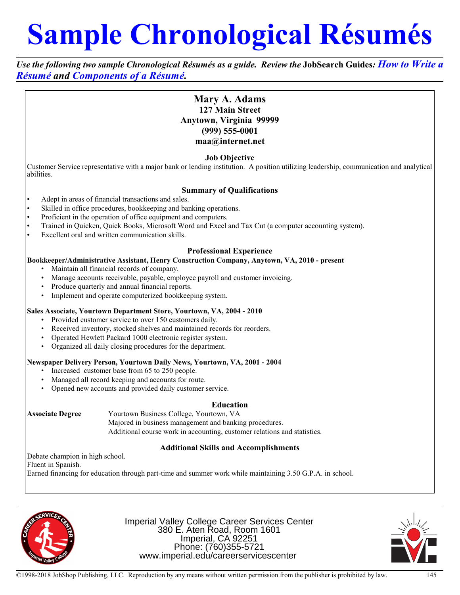# **Sample Chronological Résumés**

*Use the following two sample Chronological Résumés as a guide. Review the* **JobSearch Guides***: How to Write a Résumé and Components of a Résumé.* 

# **Mary A. Adams 127 Main Street Anytown, Virginia 99999 (999) 555-0001 maa@internet.net**

# **Job Objective**

Customer Service representative with a major bank or lending institution. A position utilizing leadership, communication and analytical abilities.

# **Summary of Qualifications**

- Adept in areas of financial transactions and sales.
- Skilled in office procedures, bookkeeping and banking operations.
- Proficient in the operation of office equipment and computers.
- Trained in Quicken, Quick Books, Microsoft Word and Excel and Tax Cut (a computer accounting system).
- Excellent oral and written communication skills.

#### **Professional Experience**

#### **Bookkeeper/Administrative Assistant, Henry Construction Company, Anytown, VA, 2010 - present**

- Maintain all financial records of company.
- Manage accounts receivable, payable, employee payroll and customer invoicing.
- Produce quarterly and annual financial reports.
- Implement and operate computerized bookkeeping system.

#### **Sales Associate, Yourtown Department Store, Yourtown, VA, 2004 - 2010**

- Provided customer service to over 150 customers daily.
- Received inventory, stocked shelves and maintained records for reorders.
- Operated Hewlett Packard 1000 electronic register system.
- Organized all daily closing procedures for the department.

#### **Newspaper Delivery Person, Yourtown Daily News, Yourtown, VA, 2001 - 2004**

- Increased customer base from 65 to 250 people.
- Managed all record keeping and accounts for route.
- Opened new accounts and provided daily customer service.

#### **Education**

**Associate Degree** Yourtown Business College, Yourtown, VA Majored in business management and banking procedures. Additional course work in accounting, customer relations and statistics.

# **Additional Skills and Accomplishments**

Debate champion in high school.

Fluent in Spanish.

Earned financing for education through part-time and summer work while maintaining 3.50 G.P.A. in school.



Imperial Valley College Career Services Center 380 E. Aten Road, Room 1601 Imperial, CA 92251 Phone: (760)355-5721 www.imperial.edu/careerservicescenter